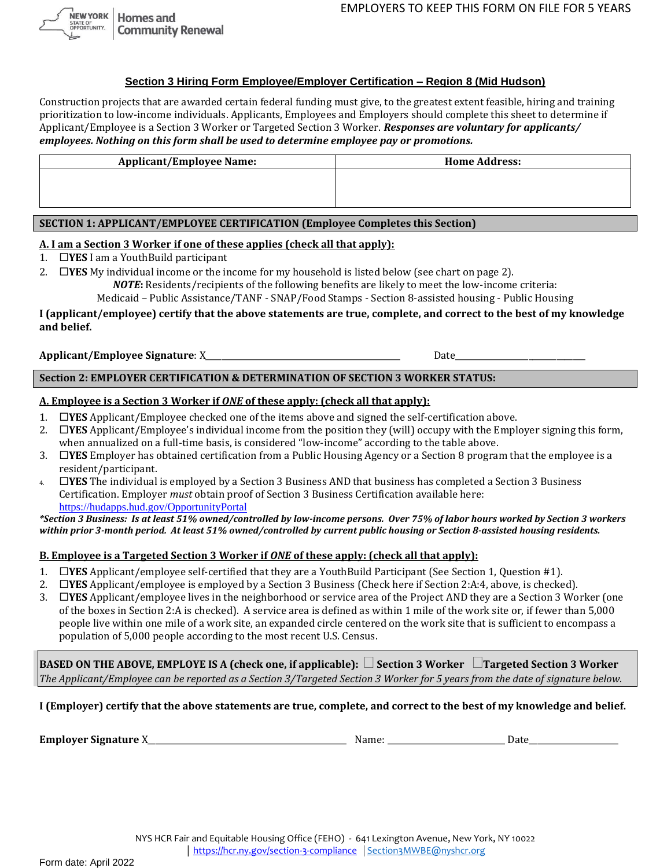**NEW YORK Homes** and ATE OF<br>'PORTUNITY. **Community Renewal** 

### **Section 3 Hiring Form Employee/Employer Certification – Region 8 (Mid Hudson)**

Construction projects that are awarded certain federal funding must give, to the greatest extent feasible, hiring and training prioritization to low-income individuals. Applicants, Employees and Employers should complete this sheet to determine if Applicant/Employee is a Section 3 Worker or Targeted Section 3 Worker. *Responses are voluntary for applicants/ employees. Nothing on this form shall be used to determine employee pay or promotions.*

| <b>Applicant/Employee Name:</b> | <b>Home Address:</b> |  |
|---------------------------------|----------------------|--|
|                                 |                      |  |
|                                 |                      |  |
|                                 |                      |  |

### **SECTION 1: APPLICANT/EMPLOYEE CERTIFICATION (Employee Completes this Section)**

#### **A. I am a Section 3 Worker if one of these applies (check all that apply):**

1. **YES** I am a YouthBuild participant

2. **YES** My individual income or the income for my household is listed below (see chart on page 2). *NOTE***:** Residents/recipients of the following benefits are likely to meet the low-income criteria:

Medicaid – Public Assistance/TANF - SNAP/Food Stamps - Section 8-assisted housing - Public Housing

### **I (applicant/employee) certify that the above statements are true, complete, and correct to the best of my knowledge and belief.**

### **Applicant/Employee Signature**: X\_\_\_\_\_\_\_\_\_\_\_\_\_\_\_\_\_\_\_\_\_\_\_\_\_\_\_\_\_\_\_\_\_\_\_\_\_\_\_\_\_\_\_\_\_\_\_\_ Date\_\_\_\_\_\_\_\_\_\_\_\_\_\_\_\_\_\_\_\_\_\_\_\_\_\_\_\_\_\_\_\_

# **Section 2: EMPLOYER CERTIFICATION & DETERMINATION OF SECTION 3 WORKER STATUS:**

# **A. Employee is a Section 3 Worker if** *ONE* **of these apply: (check all that apply):**

- 1. **YES** Applicant/Employee checked one of the items above and signed the self-certification above.
- 2. **YES** Applicant/Employee's individual income from the position they (will) occupy with the Employer signing this form, when annualized on a full-time basis, is considered "low-income" according to the table above.
- 3. **YES** Employer has obtained certification from a Public Housing Agency or a Section 8 program that the employee is a resident/participant.
- 4. **YES** The individual is employed by a Section 3 Business AND that business has completed a Section 3 Business Certification. Employer *must* obtain proof of Section 3 Business Certification available here: [https://hudapps.hud.gov/OpportunityPortal](https://hudapps.hud.gov/OpportunityPortal/)

#### *\*Section 3 Business: Is at least 51% owned/controlled by low-income persons. Over 75% of labor hours worked by Section 3 workers within prior 3-month period. At least 51% owned/controlled by current public housing or Section 8-assisted housing residents.*

# **B. Employee is a Targeted Section 3 Worker if** *ONE* **of these apply: (check all that apply):**

- 1. **YES** Applicant/employee self-certified that they are a YouthBuild Participant (See Section 1, Question #1).
- 2. **YES** Applicant/employee is employed by a Section 3 Business (Check here if Section 2:A:4, above, is checked).
- 3. **YES** Applicant/employee lives in the neighborhood or service area of the Project AND they are a Section 3 Worker (one of the boxes in Section 2:A is checked). A service area is defined as within 1 mile of the work site or, if fewer than 5,000 people live within one mile of a work site, an expanded circle centered on the work site that is sufficient to encompass a population of 5,000 people according to the most recent U.S. Census.

**BASED ON THE ABOVE, EMPLOYE IS A (check one, if applicable): Section 3 Worker Targeted Section 3 Worker**  *The Applicant/Employee can be reported as a Section 3/Targeted Section 3 Worker for 5 years from the date of signature below.*

**I (Employer) certify that the above statements are true, complete, and correct to the best of my knowledge and belief.** 

**Employer Signature** X\_\_\_\_\_\_\_\_\_\_\_\_\_\_\_\_\_\_\_\_\_\_\_\_\_\_\_\_\_\_\_\_\_\_\_\_\_\_\_\_\_\_\_\_\_\_\_\_\_ Name: \_\_\_\_\_\_\_\_\_\_\_\_\_\_\_\_\_\_\_\_\_\_\_\_\_\_\_\_\_ Date\_\_\_\_\_\_\_\_\_\_\_\_\_\_\_\_\_\_\_\_\_\_